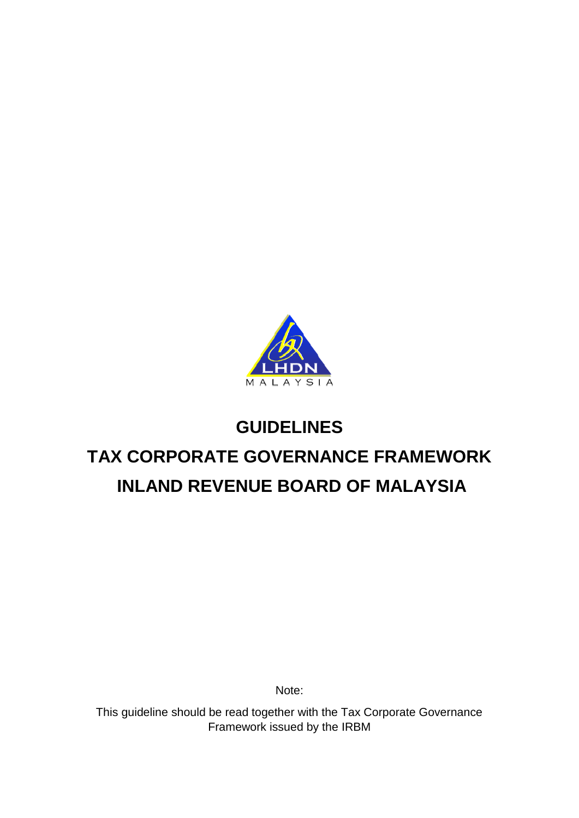

# **GUIDELINES TAX CORPORATE GOVERNANCE FRAMEWORK INLAND REVENUE BOARD OF MALAYSIA**

Note:

This guideline should be read together with the Tax Corporate Governance Framework issued by the IRBM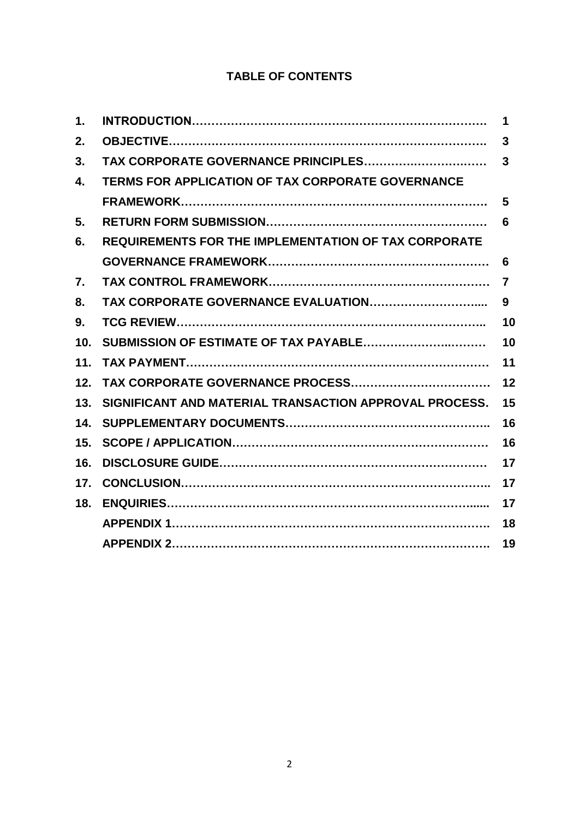# **TABLE OF CONTENTS**

| 1.              |                                                             | 1  |
|-----------------|-------------------------------------------------------------|----|
| 2.              |                                                             | 3  |
| 3.              | TAX CORPORATE GOVERNANCE PRINCIPLES                         | 3  |
| 4.              | <b>TERMS FOR APPLICATION OF TAX CORPORATE GOVERNANCE</b>    |    |
|                 |                                                             | 5  |
| 5.              |                                                             | 6  |
| 6.              | <b>REQUIREMENTS FOR THE IMPLEMENTATION OF TAX CORPORATE</b> |    |
|                 |                                                             | 6  |
| 7.              |                                                             | 7  |
| 8.              | TAX CORPORATE GOVERNANCE EVALUATION                         | 9  |
| 9.              |                                                             | 10 |
| 10 <sub>1</sub> | SUBMISSION OF ESTIMATE OF TAX PAYABLE                       | 10 |
| 11.             |                                                             | 11 |
| 12.             |                                                             | 12 |
| 13.             | SIGNIFICANT AND MATERIAL TRANSACTION APPROVAL PROCESS.      | 15 |
| 14.             |                                                             | 16 |
| 15.             |                                                             | 16 |
| 16.             |                                                             | 17 |
| 17.             |                                                             | 17 |
| 18.             |                                                             | 17 |
|                 |                                                             | 18 |
|                 |                                                             | 19 |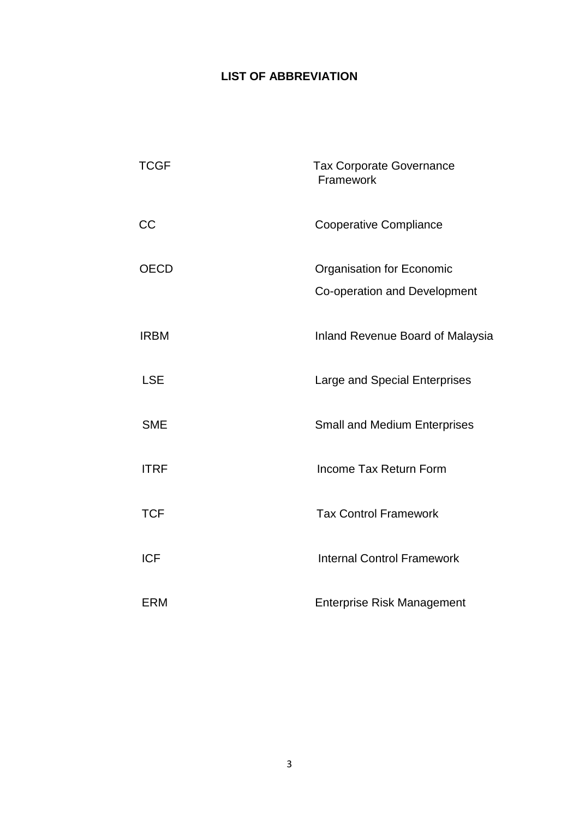# **LIST OF ABBREVIATION**

| <b>TCGF</b> | <b>Tax Corporate Governance</b><br>Framework                     |
|-------------|------------------------------------------------------------------|
| CC          | <b>Cooperative Compliance</b>                                    |
| <b>OECD</b> | <b>Organisation for Economic</b><br>Co-operation and Development |
| <b>IRBM</b> | <b>Inland Revenue Board of Malaysia</b>                          |
| <b>LSE</b>  | Large and Special Enterprises                                    |
| <b>SME</b>  | <b>Small and Medium Enterprises</b>                              |
| <b>ITRF</b> | Income Tax Return Form                                           |
| <b>TCF</b>  | <b>Tax Control Framework</b>                                     |
| <b>ICF</b>  | <b>Internal Control Framework</b>                                |
| <b>ERM</b>  | <b>Enterprise Risk Management</b>                                |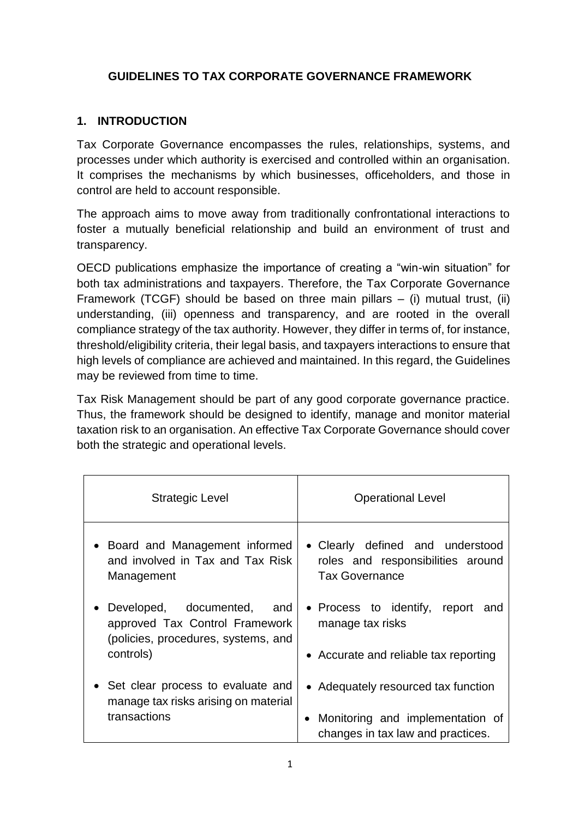## **GUIDELINES TO TAX CORPORATE GOVERNANCE FRAMEWORK**

## **1. INTRODUCTION**

Tax Corporate Governance encompasses the rules, relationships, systems, and processes under which authority is exercised and controlled within an organisation. It comprises the mechanisms by which businesses, officeholders, and those in control are held to account responsible.

The approach aims to move away from traditionally confrontational interactions to foster a mutually beneficial relationship and build an environment of trust and transparency.

OECD publications emphasize the importance of creating a "win-win situation" for both tax administrations and taxpayers. Therefore, the Tax Corporate Governance Framework (TCGF) should be based on three main pillars  $-$  (i) mutual trust, (ii) understanding, (iii) openness and transparency, and are rooted in the overall compliance strategy of the tax authority. However, they differ in terms of, for instance, threshold/eligibility criteria, their legal basis, and taxpayers interactions to ensure that high levels of compliance are achieved and maintained. In this regard, the Guidelines may be reviewed from time to time.

Tax Risk Management should be part of any good corporate governance practice. Thus, the framework should be designed to identify, manage and monitor material taxation risk to an organisation. An effective Tax Corporate Governance should cover both the strategic and operational levels.

| Strategic Level                                                                                                       | <b>Operational Level</b>                                                                       |  |  |  |
|-----------------------------------------------------------------------------------------------------------------------|------------------------------------------------------------------------------------------------|--|--|--|
| • Board and Management informed                                                                                       | • Clearly defined and understood                                                               |  |  |  |
| and involved in Tax and Tax Risk                                                                                      | roles and responsibilities around                                                              |  |  |  |
| Management                                                                                                            | <b>Tax Governance</b>                                                                          |  |  |  |
| • Developed, documented,<br>and<br>approved Tax Control Framework<br>(policies, procedures, systems, and<br>controls) | • Process to identify, report and<br>manage tax risks<br>• Accurate and reliable tax reporting |  |  |  |
| • Set clear process to evaluate and                                                                                   | • Adequately resourced tax function                                                            |  |  |  |
| manage tax risks arising on material                                                                                  | • Monitoring and implementation of                                                             |  |  |  |
| transactions                                                                                                          | changes in tax law and practices.                                                              |  |  |  |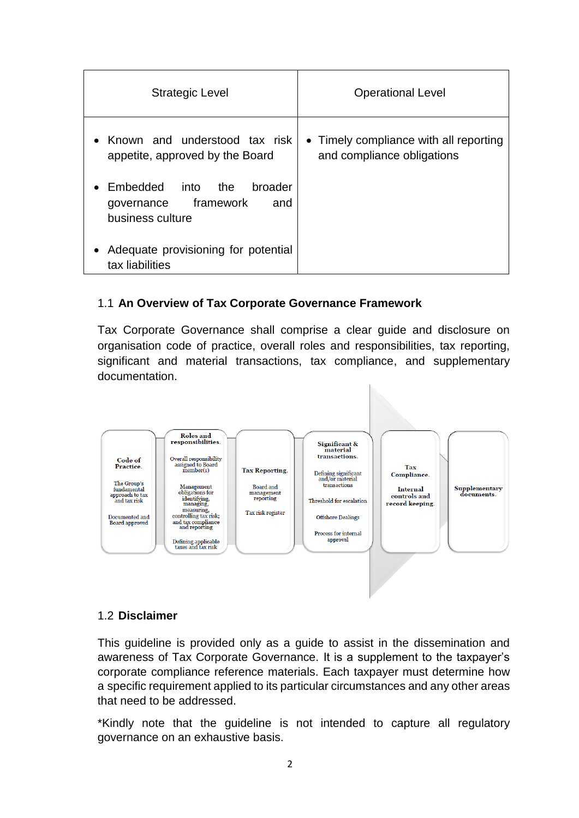| <b>Strategic Level</b>                                                                   | <b>Operational Level</b>                                             |  |  |
|------------------------------------------------------------------------------------------|----------------------------------------------------------------------|--|--|
| • Known and understood tax risk<br>appetite, approved by the Board                       | • Timely compliance with all reporting<br>and compliance obligations |  |  |
| Embedded<br>into<br>broader<br>the<br>framework<br>and<br>governance<br>business culture |                                                                      |  |  |
| Adequate provisioning for potential<br>tax liabilities                                   |                                                                      |  |  |

#### 1.1 **An Overview of Tax Corporate Governance Framework**

Tax Corporate Governance shall comprise a clear guide and disclosure on organisation code of practice, overall roles and responsibilities, tax reporting, significant and material transactions, tax compliance, and supplementary documentation.



#### 1.2 **Disclaimer**

This guideline is provided only as a guide to assist in the dissemination and awareness of Tax Corporate Governance. It is a supplement to the taxpayer's corporate compliance reference materials. Each taxpayer must determine how a specific requirement applied to its particular circumstances and any other areas that need to be addressed.

\*Kindly note that the guideline is not intended to capture all regulatory governance on an exhaustive basis.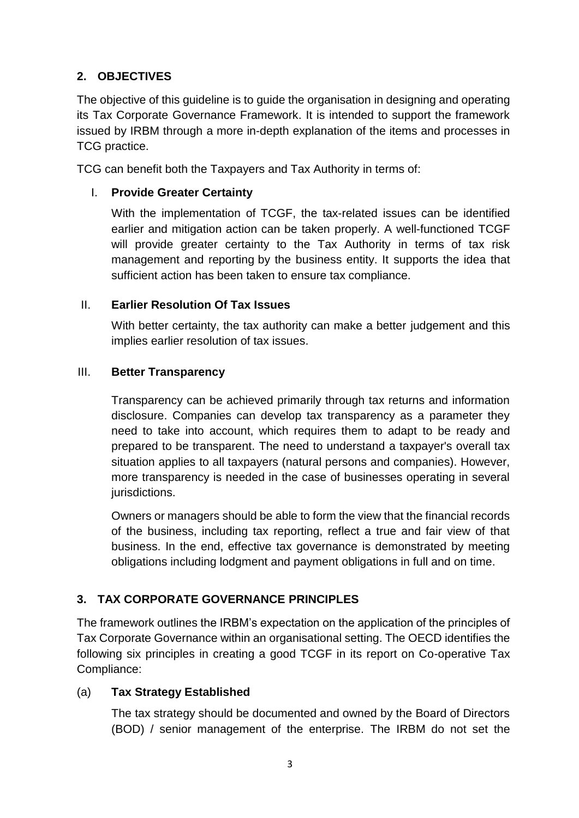# **2. OBJECTIVES**

The objective of this guideline is to guide the organisation in designing and operating its Tax Corporate Governance Framework. It is intended to support the framework issued by IRBM through a more in-depth explanation of the items and processes in TCG practice.

TCG can benefit both the Taxpayers and Tax Authority in terms of:

## I. **Provide Greater Certainty**

With the implementation of TCGF, the tax-related issues can be identified earlier and mitigation action can be taken properly. A well-functioned TCGF will provide greater certainty to the Tax Authority in terms of tax risk management and reporting by the business entity. It supports the idea that sufficient action has been taken to ensure tax compliance.

#### II. **Earlier Resolution Of Tax Issues**

With better certainty, the tax authority can make a better judgement and this implies earlier resolution of tax issues.

#### III. **Better Transparency**

Transparency can be achieved primarily through tax returns and information disclosure. Companies can develop tax transparency as a parameter they need to take into account, which requires them to adapt to be ready and prepared to be transparent. The need to understand a taxpayer's overall tax situation applies to all taxpayers (natural persons and companies). However, more transparency is needed in the case of businesses operating in several jurisdictions.

Owners or managers should be able to form the view that the financial records of the business, including tax reporting, reflect a true and fair view of that business. In the end, effective tax governance is demonstrated by meeting obligations including lodgment and payment obligations in full and on time.

# **3. TAX CORPORATE GOVERNANCE PRINCIPLES**

The framework outlines the IRBM's expectation on the application of the principles of Tax Corporate Governance within an organisational setting. The OECD identifies the following six principles in creating a good TCGF in its report on Co-operative Tax Compliance:

# (a) **Tax Strategy Established**

The tax strategy should be documented and owned by the Board of Directors (BOD) / senior management of the enterprise. The IRBM do not set the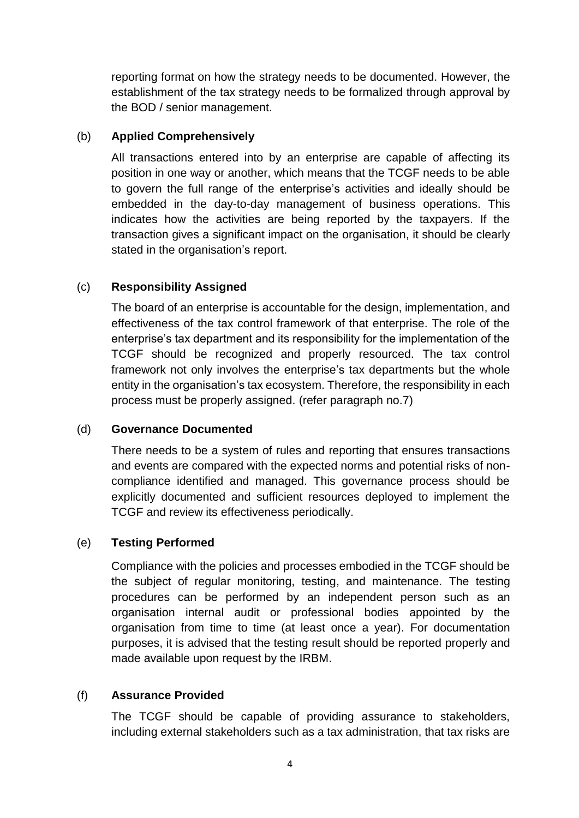reporting format on how the strategy needs to be documented. However, the establishment of the tax strategy needs to be formalized through approval by the BOD / senior management.

#### (b) **Applied Comprehensively**

All transactions entered into by an enterprise are capable of affecting its position in one way or another, which means that the TCGF needs to be able to govern the full range of the enterprise's activities and ideally should be embedded in the day-to-day management of business operations. This indicates how the activities are being reported by the taxpayers. If the transaction gives a significant impact on the organisation, it should be clearly stated in the organisation's report.

## (c) **Responsibility Assigned**

The board of an enterprise is accountable for the design, implementation, and effectiveness of the tax control framework of that enterprise. The role of the enterprise's tax department and its responsibility for the implementation of the TCGF should be recognized and properly resourced. The tax control framework not only involves the enterprise's tax departments but the whole entity in the organisation's tax ecosystem. Therefore, the responsibility in each process must be properly assigned. (refer paragraph no.7)

#### (d) **Governance Documented**

There needs to be a system of rules and reporting that ensures transactions and events are compared with the expected norms and potential risks of noncompliance identified and managed. This governance process should be explicitly documented and sufficient resources deployed to implement the TCGF and review its effectiveness periodically.

# (e) **Testing Performed**

Compliance with the policies and processes embodied in the TCGF should be the subject of regular monitoring, testing, and maintenance. The testing procedures can be performed by an independent person such as an organisation internal audit or professional bodies appointed by the organisation from time to time (at least once a year). For documentation purposes, it is advised that the testing result should be reported properly and made available upon request by the IRBM.

#### (f) **Assurance Provided**

The TCGF should be capable of providing assurance to stakeholders, including external stakeholders such as a tax administration, that tax risks are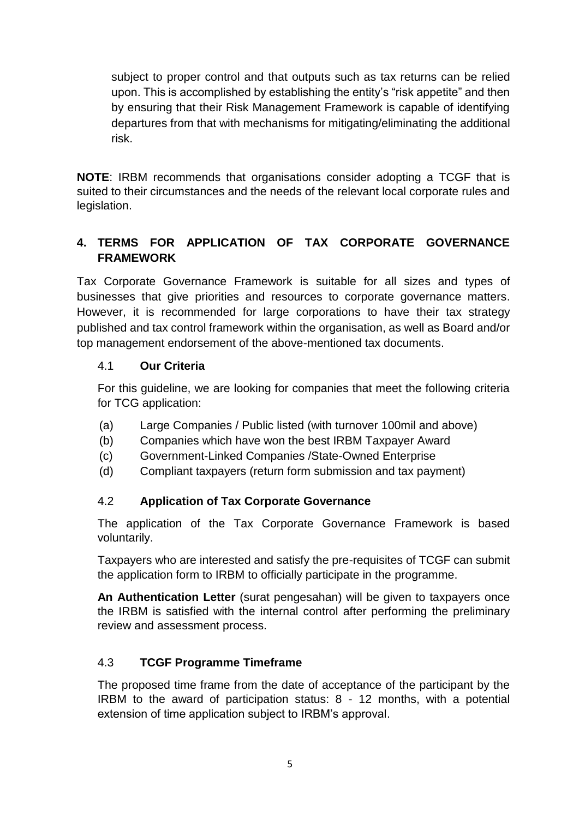subject to proper control and that outputs such as tax returns can be relied upon. This is accomplished by establishing the entity's "risk appetite" and then by ensuring that their Risk Management Framework is capable of identifying departures from that with mechanisms for mitigating/eliminating the additional risk.

**NOTE**: IRBM recommends that organisations consider adopting a TCGF that is suited to their circumstances and the needs of the relevant local corporate rules and legislation.

# **4. TERMS FOR APPLICATION OF TAX CORPORATE GOVERNANCE FRAMEWORK**

Tax Corporate Governance Framework is suitable for all sizes and types of businesses that give priorities and resources to corporate governance matters. However, it is recommended for large corporations to have their tax strategy published and tax control framework within the organisation, as well as Board and/or top management endorsement of the above-mentioned tax documents.

#### 4.1 **Our Criteria**

For this guideline, we are looking for companies that meet the following criteria for TCG application:

- (a) Large Companies / Public listed (with turnover 100mil and above)
- (b) Companies which have won the best IRBM Taxpayer Award
- (c) Government-Linked Companies /State-Owned Enterprise
- (d) Compliant taxpayers (return form submission and tax payment)

# 4.2 **Application of Tax Corporate Governance**

The application of the Tax Corporate Governance Framework is based voluntarily.

Taxpayers who are interested and satisfy the pre-requisites of TCGF can submit the application form to IRBM to officially participate in the programme.

**An Authentication Letter** (surat pengesahan) will be given to taxpayers once the IRBM is satisfied with the internal control after performing the preliminary review and assessment process.

# 4.3 **TCGF Programme Timeframe**

The proposed time frame from the date of acceptance of the participant by the IRBM to the award of participation status: 8 - 12 months, with a potential extension of time application subject to IRBM's approval.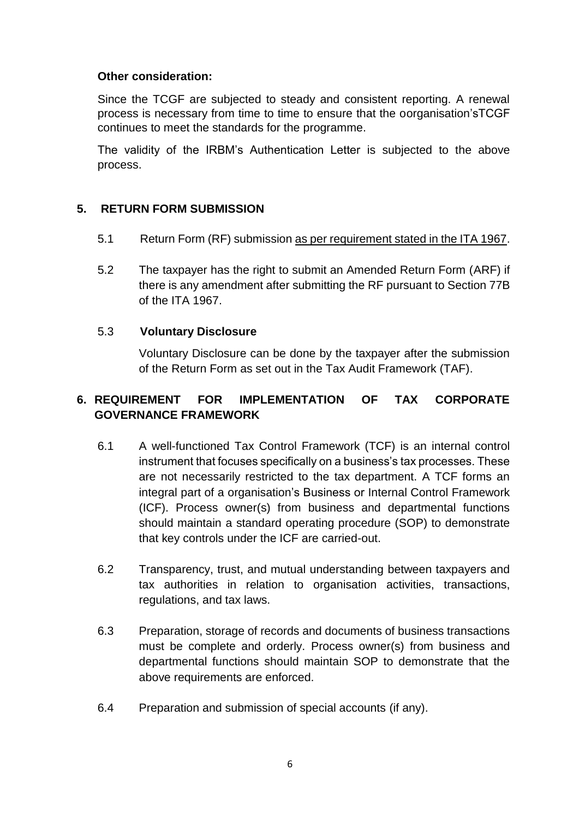#### **Other consideration:**

Since the TCGF are subjected to steady and consistent reporting. A renewal process is necessary from time to time to ensure that the oorganisation'sTCGF continues to meet the standards for the programme.

The validity of the IRBM's Authentication Letter is subjected to the above process.

#### **5. RETURN FORM SUBMISSION**

- 5.1 Return Form (RF) submission as per requirement stated in the ITA 1967.
- 5.2 The taxpayer has the right to submit an Amended Return Form (ARF) if there is any amendment after submitting the RF pursuant to Section 77B of the ITA 1967.

#### 5.3 **Voluntary Disclosure**

Voluntary Disclosure can be done by the taxpayer after the submission of the Return Form as set out in the Tax Audit Framework (TAF).

## **6. REQUIREMENT FOR IMPLEMENTATION OF TAX CORPORATE GOVERNANCE FRAMEWORK**

- 6.1 A well-functioned Tax Control Framework (TCF) is an internal control instrument that focuses specifically on a business's tax processes. These are not necessarily restricted to the tax department. A TCF forms an integral part of a organisation's Business or Internal Control Framework (ICF). Process owner(s) from business and departmental functions should maintain a standard operating procedure (SOP) to demonstrate that key controls under the ICF are carried-out.
- 6.2 Transparency, trust, and mutual understanding between taxpayers and tax authorities in relation to organisation activities, transactions, regulations, and tax laws.
- 6.3 Preparation, storage of records and documents of business transactions must be complete and orderly. Process owner(s) from business and departmental functions should maintain SOP to demonstrate that the above requirements are enforced.
- 6.4 Preparation and submission of special accounts (if any).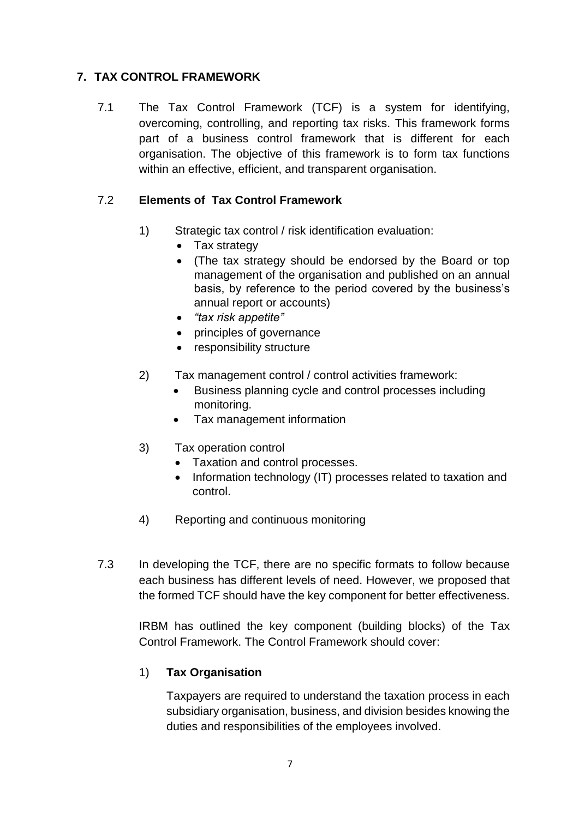# **7. TAX CONTROL FRAMEWORK**

7.1 The Tax Control Framework (TCF) is a system for identifying, overcoming, controlling, and reporting tax risks. This framework forms part of a business control framework that is different for each organisation. The objective of this framework is to form tax functions within an effective, efficient, and transparent organisation.

### 7.2 **Elements of Tax Control Framework**

- 1) Strategic tax control / risk identification evaluation:
	- Tax strategy
	- (The tax strategy should be endorsed by the Board or top management of the organisation and published on an annual basis, by reference to the period covered by the business's annual report or accounts)
	- *"tax risk appetite"*
	- principles of governance
	- responsibility structure
- 2) Tax management control / control activities framework:
	- Business planning cycle and control processes including monitoring.
	- Tax management information
- 3) Tax operation control
	- Taxation and control processes.
	- Information technology (IT) processes related to taxation and control.
- 4) Reporting and continuous monitoring
- 7.3 In developing the TCF, there are no specific formats to follow because each business has different levels of need. However, we proposed that the formed TCF should have the key component for better effectiveness.

IRBM has outlined the key component (building blocks) of the Tax Control Framework. The Control Framework should cover:

#### 1) **Tax Organisation**

Taxpayers are required to understand the taxation process in each subsidiary organisation, business, and division besides knowing the duties and responsibilities of the employees involved.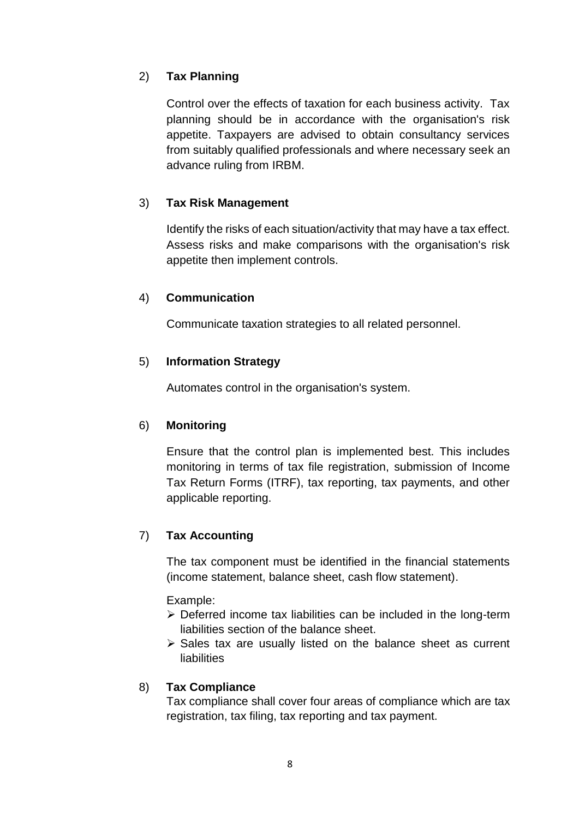## 2) **Tax Planning**

Control over the effects of taxation for each business activity. Tax planning should be in accordance with the organisation's risk appetite. Taxpayers are advised to obtain consultancy services from suitably qualified professionals and where necessary seek an advance ruling from IRBM.

## 3) **Tax Risk Management**

Identify the risks of each situation/activity that may have a tax effect. Assess risks and make comparisons with the organisation's risk appetite then implement controls.

#### 4) **Communication**

Communicate taxation strategies to all related personnel.

#### 5) **Information Strategy**

Automates control in the organisation's system.

#### 6) **Monitoring**

Ensure that the control plan is implemented best. This includes monitoring in terms of tax file registration, submission of Income Tax Return Forms (ITRF), tax reporting, tax payments, and other applicable reporting.

#### 7) **Tax Accounting**

The tax component must be identified in the financial statements (income statement, balance sheet, cash flow statement).

#### Example:

- $\triangleright$  Deferred income tax liabilities can be included in the long-term liabilities section of the balance sheet.
- $\triangleright$  Sales tax are usually listed on the balance sheet as current liabilities

#### 8) **Tax Compliance**

Tax compliance shall cover four areas of compliance which are tax registration, tax filing, tax reporting and tax payment.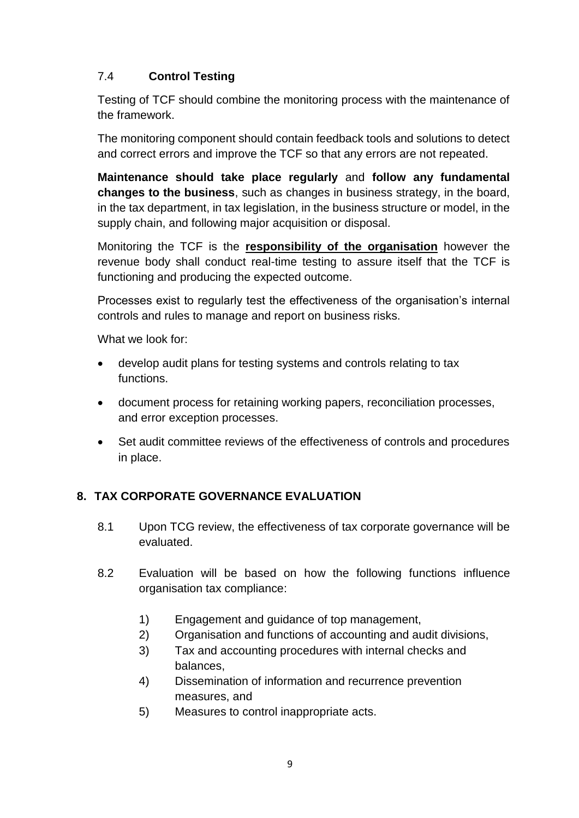# 7.4 **Control Testing**

Testing of TCF should combine the monitoring process with the maintenance of the framework.

The monitoring component should contain feedback tools and solutions to detect and correct errors and improve the TCF so that any errors are not repeated.

**Maintenance should take place regularly** and **follow any fundamental changes to the business**, such as changes in business strategy, in the board, in the tax department, in tax legislation, in the business structure or model, in the supply chain, and following major acquisition or disposal.

Monitoring the TCF is the **responsibility of the organisation** however the revenue body shall conduct real-time testing to assure itself that the TCF is functioning and producing the expected outcome.

Processes exist to regularly test the effectiveness of the organisation's internal controls and rules to manage and report on business risks.

What we look for:

- develop audit plans for testing systems and controls relating to tax functions.
- document process for retaining working papers, reconciliation processes, and error exception processes.
- Set audit committee reviews of the effectiveness of controls and procedures in place.

# **8. TAX CORPORATE GOVERNANCE EVALUATION**

- 8.1 Upon TCG review, the effectiveness of tax corporate governance will be evaluated.
- 8.2 Evaluation will be based on how the following functions influence organisation tax compliance:
	- 1) Engagement and guidance of top management,
	- 2) Organisation and functions of accounting and audit divisions,
	- 3) Tax and accounting procedures with internal checks and balances,
	- 4) Dissemination of information and recurrence prevention measures, and
	- 5) Measures to control inappropriate acts.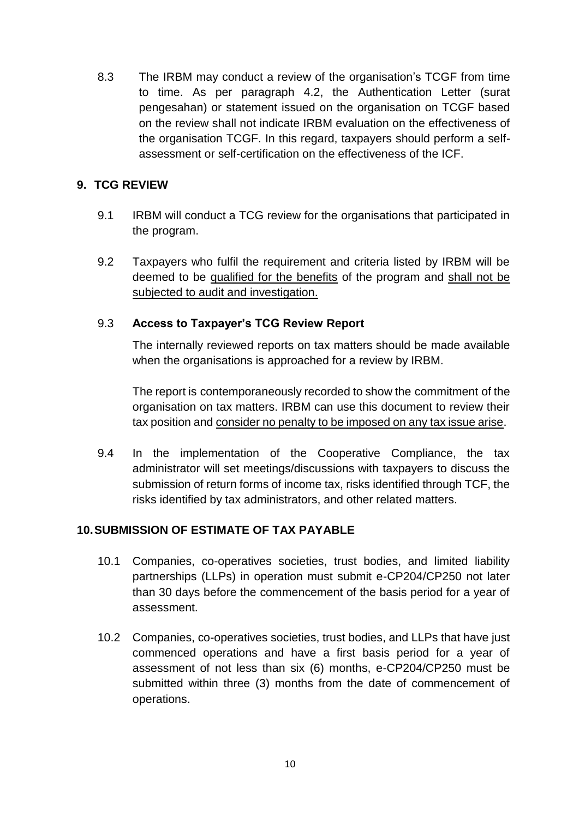8.3 The IRBM may conduct a review of the organisation's TCGF from time to time. As per paragraph 4.2, the Authentication Letter (surat pengesahan) or statement issued on the organisation on TCGF based on the review shall not indicate IRBM evaluation on the effectiveness of the organisation TCGF. In this regard, taxpayers should perform a selfassessment or self-certification on the effectiveness of the ICF.

#### **9. TCG REVIEW**

- 9.1 IRBM will conduct a TCG review for the organisations that participated in the program.
- 9.2 Taxpayers who fulfil the requirement and criteria listed by IRBM will be deemed to be qualified for the benefits of the program and shall not be subjected to audit and investigation.

#### 9.3 **Access to Taxpayer's TCG Review Report**

The internally reviewed reports on tax matters should be made available when the organisations is approached for a review by IRBM.

The report is contemporaneously recorded to show the commitment of the organisation on tax matters. IRBM can use this document to review their tax position and consider no penalty to be imposed on any tax issue arise.

9.4 In the implementation of the Cooperative Compliance, the tax administrator will set meetings/discussions with taxpayers to discuss the submission of return forms of income tax, risks identified through TCF, the risks identified by tax administrators, and other related matters.

#### **10.SUBMISSION OF ESTIMATE OF TAX PAYABLE**

- 10.1 Companies, co-operatives societies, trust bodies, and limited liability partnerships (LLPs) in operation must submit e-CP204/CP250 not later than 30 days before the commencement of the basis period for a year of assessment.
- 10.2 Companies, co-operatives societies, trust bodies, and LLPs that have just commenced operations and have a first basis period for a year of assessment of not less than six (6) months, e-CP204/CP250 must be submitted within three (3) months from the date of commencement of operations.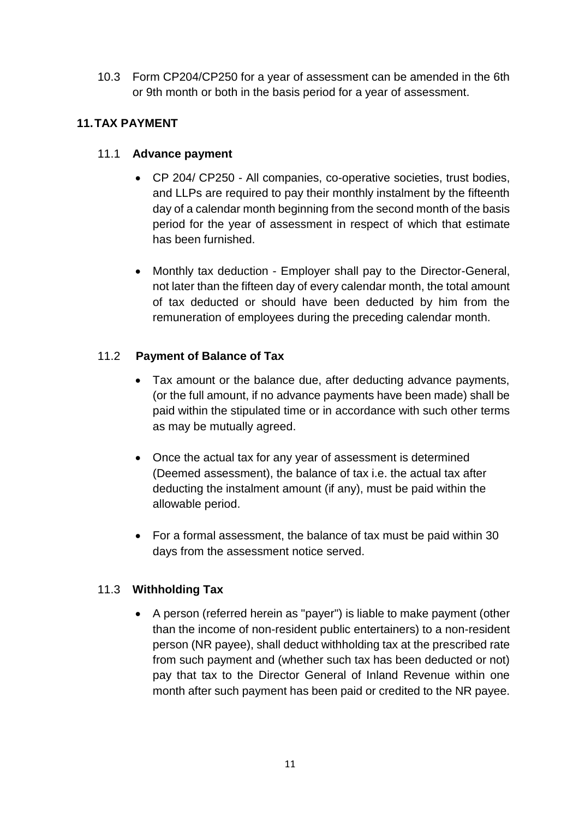10.3 Form CP204/CP250 for a year of assessment can be amended in the 6th or 9th month or both in the basis period for a year of assessment.

# **11.TAX PAYMENT**

#### 11.1 **Advance payment**

- CP 204/ CP250 All companies, co-operative societies, trust bodies, and LLPs are required to pay their monthly instalment by the fifteenth day of a calendar month beginning from the second month of the basis period for the year of assessment in respect of which that estimate has been furnished.
- Monthly tax deduction Employer shall pay to the Director-General, not later than the fifteen day of every calendar month, the total amount of tax deducted or should have been deducted by him from the remuneration of employees during the preceding calendar month.

## 11.2 **Payment of Balance of Tax**

- Tax amount or the balance due, after deducting advance payments, (or the full amount, if no advance payments have been made) shall be paid within the stipulated time or in accordance with such other terms as may be mutually agreed.
- Once the actual tax for any year of assessment is determined (Deemed assessment), the balance of tax i.e. the actual tax after deducting the instalment amount (if any), must be paid within the allowable period.
- For a formal assessment, the balance of tax must be paid within 30 days from the assessment notice served.

#### 11.3 **Withholding Tax**

 A person (referred herein as "payer") is liable to make payment (other than the income of non-resident public entertainers) to a non-resident person (NR payee), shall deduct withholding tax at the prescribed rate from such payment and (whether such tax has been deducted or not) pay that tax to the Director General of Inland Revenue within one month after such payment has been paid or credited to the NR payee.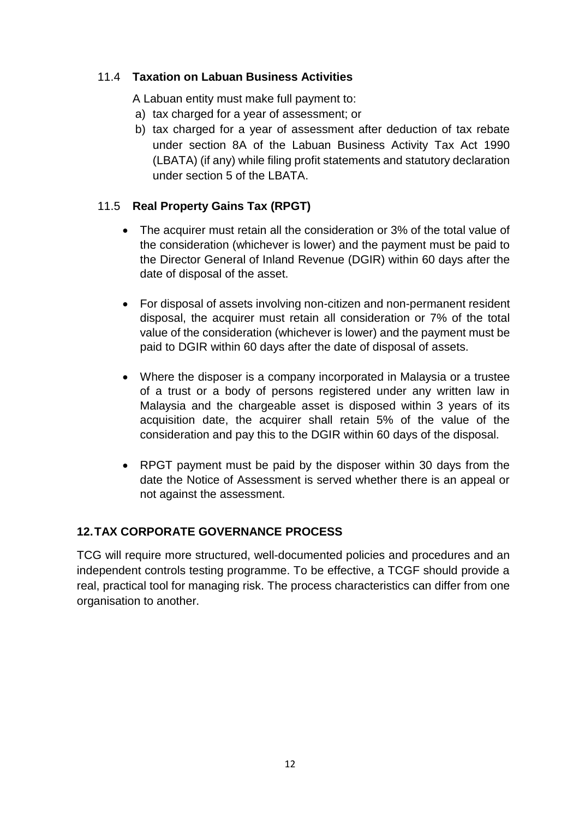## 11.4 **Taxation on Labuan Business Activities**

A Labuan entity must make full payment to:

- a) tax charged for a year of assessment; or
- b) tax charged for a year of assessment after deduction of tax rebate under section 8A of the Labuan Business Activity Tax Act 1990 (LBATA) (if any) while filing profit statements and statutory declaration under section 5 of the LBATA.

## 11.5 **Real Property Gains Tax (RPGT)**

- The acquirer must retain all the consideration or 3% of the total value of the consideration (whichever is lower) and the payment must be paid to the Director General of Inland Revenue (DGIR) within 60 days after the date of disposal of the asset.
- For disposal of assets involving non-citizen and non-permanent resident disposal, the acquirer must retain all consideration or 7% of the total value of the consideration (whichever is lower) and the payment must be paid to DGIR within 60 days after the date of disposal of assets.
- Where the disposer is a company incorporated in Malaysia or a trustee of a trust or a body of persons registered under any written law in Malaysia and the chargeable asset is disposed within 3 years of its acquisition date, the acquirer shall retain 5% of the value of the consideration and pay this to the DGIR within 60 days of the disposal.
- RPGT payment must be paid by the disposer within 30 days from the date the Notice of Assessment is served whether there is an appeal or not against the assessment.

#### **12.TAX CORPORATE GOVERNANCE PROCESS**

TCG will require more structured, well-documented policies and procedures and an independent controls testing programme. To be effective, a TCGF should provide a real, practical tool for managing risk. The process characteristics can differ from one organisation to another.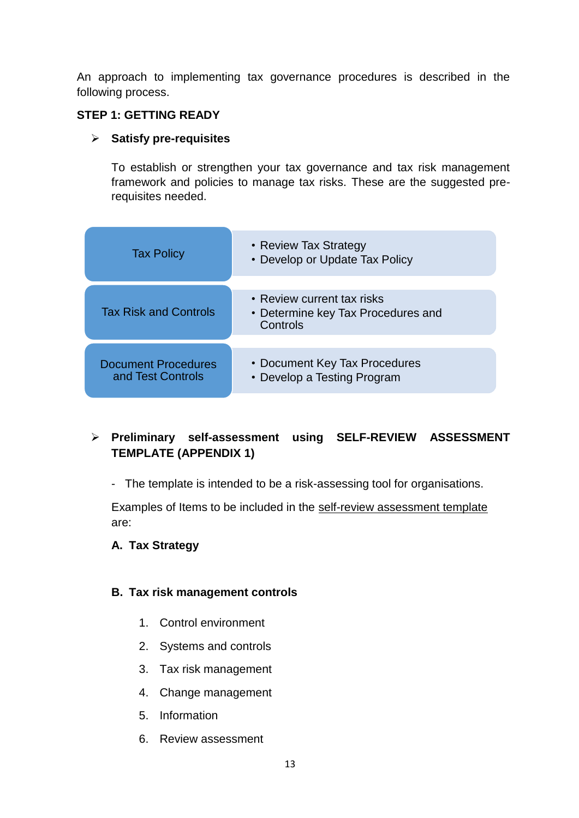An approach to implementing tax governance procedures is described in the following process.

#### **STEP 1: GETTING READY**

#### **Satisfy pre-requisites**

To establish or strengthen your tax governance and tax risk management framework and policies to manage tax risks. These are the suggested prerequisites needed.

| <b>Tax Policy</b>                               | • Review Tax Strategy<br>• Develop or Update Tax Policy      |  |  |  |  |
|-------------------------------------------------|--------------------------------------------------------------|--|--|--|--|
|                                                 | • Review current tax risks                                   |  |  |  |  |
| <b>Tax Risk and Controls</b>                    | • Determine key Tax Procedures and<br>Controls               |  |  |  |  |
|                                                 |                                                              |  |  |  |  |
| <b>Document Procedures</b><br>and Test Controls | • Document Key Tax Procedures<br>• Develop a Testing Program |  |  |  |  |

# **Preliminary self-assessment using SELF-REVIEW ASSESSMENT TEMPLATE (APPENDIX 1)**

- The template is intended to be a risk-assessing tool for organisations.

Examples of Items to be included in the self-review assessment template are:

#### **A. Tax Strategy**

#### **B. Tax risk management controls**

- 1. Control environment
- 2. Systems and controls
- 3. Tax risk management
- 4. Change management
- 5. Information
- 6. Review assessment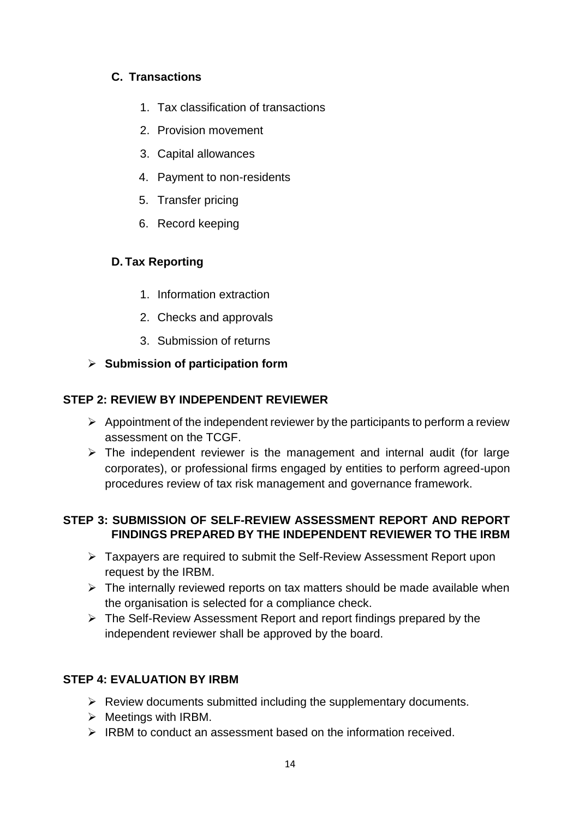# **C. Transactions**

- 1. Tax classification of transactions
- 2. Provision movement
- 3. Capital allowances
- 4. Payment to non-residents
- 5. Transfer pricing
- 6. Record keeping

## **D. Tax Reporting**

- 1. Information extraction
- 2. Checks and approvals
- 3. Submission of returns

## **Submission of participation form**

## **STEP 2: REVIEW BY INDEPENDENT REVIEWER**

- $\triangleright$  Appointment of the independent reviewer by the participants to perform a review assessment on the TCGF.
- $\triangleright$  The independent reviewer is the management and internal audit (for large corporates), or professional firms engaged by entities to perform agreed-upon procedures review of tax risk management and governance framework.

#### **STEP 3: SUBMISSION OF SELF-REVIEW ASSESSMENT REPORT AND REPORT FINDINGS PREPARED BY THE INDEPENDENT REVIEWER TO THE IRBM**

- Taxpayers are required to submit the Self-Review Assessment Report upon request by the IRBM.
- $\triangleright$  The internally reviewed reports on tax matters should be made available when the organisation is selected for a compliance check.
- $\triangleright$  The Self-Review Assessment Report and report findings prepared by the independent reviewer shall be approved by the board.

# **STEP 4: EVALUATION BY IRBM**

- $\triangleright$  Review documents submitted including the supplementary documents.
- $\triangleright$  Meetings with IRBM.
- $\triangleright$  IRBM to conduct an assessment based on the information received.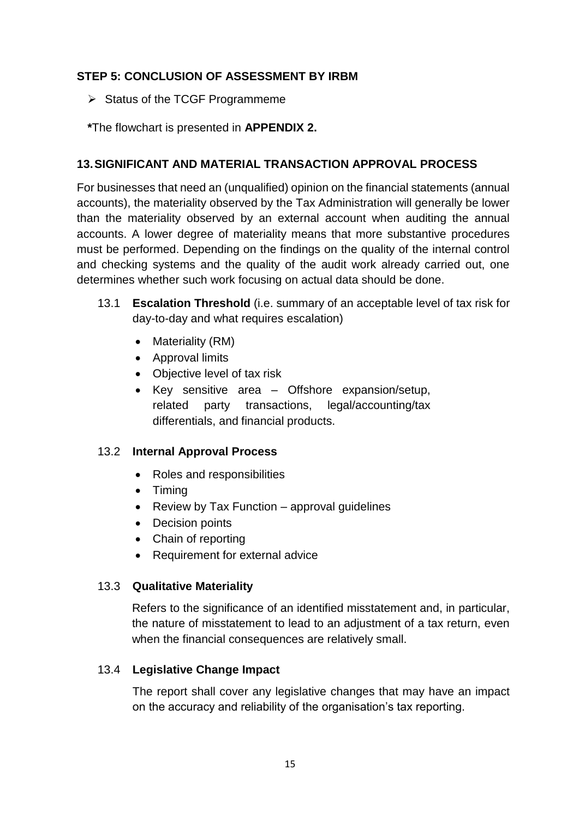### **STEP 5: CONCLUSION OF ASSESSMENT BY IRBM**

 $\triangleright$  Status of the TCGF Programmeme

**\***The flowchart is presented in **APPENDIX 2.**

## **13.SIGNIFICANT AND MATERIAL TRANSACTION APPROVAL PROCESS**

For businesses that need an (unqualified) opinion on the financial statements (annual accounts), the materiality observed by the Tax Administration will generally be lower than the materiality observed by an external account when auditing the annual accounts. A lower degree of materiality means that more substantive procedures must be performed. Depending on the findings on the quality of the internal control and checking systems and the quality of the audit work already carried out, one determines whether such work focusing on actual data should be done.

- 13.1 **Escalation Threshold** (i.e. summary of an acceptable level of tax risk for day-to-day and what requires escalation)
	- Materiality (RM)
	- Approval limits
	- Objective level of tax risk
	- Key sensitive area Offshore expansion/setup, related party transactions, legal/accounting/tax differentials, and financial products.

#### 13.2 **Internal Approval Process**

- Roles and responsibilities
- Timing
- Review by Tax Function approval guidelines
- Decision points
- Chain of reporting
- Requirement for external advice

#### 13.3 **Qualitative Materiality**

Refers to the significance of an identified misstatement and, in particular, the nature of misstatement to lead to an adjustment of a tax return, even when the financial consequences are relatively small.

#### 13.4 **Legislative Change Impact**

The report shall cover any legislative changes that may have an impact on the accuracy and reliability of the organisation's tax reporting.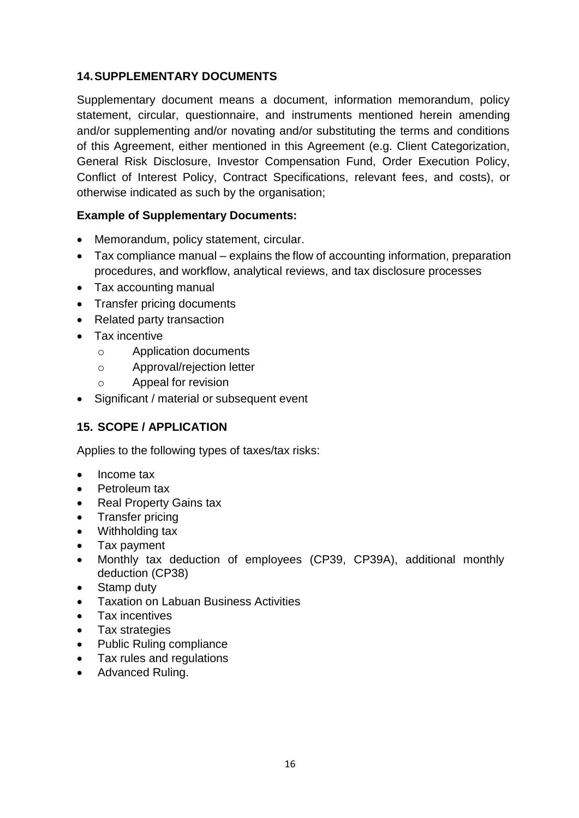## **14.SUPPLEMENTARY DOCUMENTS**

Supplementary document means a document, information memorandum, policy statement, circular, questionnaire, and instruments mentioned herein amending and/or supplementing and/or novating and/or substituting the terms and conditions of this Agreement, either mentioned in this Agreement (e.g. Client Categorization, General Risk Disclosure, Investor Compensation Fund, Order Execution Policy, Conflict of Interest Policy, Contract Specifications, relevant fees, and costs), or otherwise indicated as such by the organisation;

## **Example of Supplementary Documents:**

- Memorandum, policy statement, circular.
- Tax compliance manual explains the flow of accounting information, preparation procedures, and workflow, analytical reviews, and tax disclosure processes
- Tax accounting manual
- Transfer pricing documents
- Related party transaction
- Tax incentive
	- o Application documents
	- o Approval/rejection letter
	- o Appeal for revision
- Significant / material or subsequent event

#### **15. SCOPE / APPLICATION**

Applies to the following types of taxes/tax risks:

- Income tax
- Petroleum tax
- Real Property Gains tax
- Transfer pricing
- Withholding tax
- Tax payment
- Monthly tax deduction of employees (CP39, CP39A), additional monthly deduction (CP38)
- Stamp duty
- Taxation on Labuan Business Activities
- Tax incentives
- Tax strategies
- Public Ruling compliance
- Tax rules and regulations
- Advanced Ruling.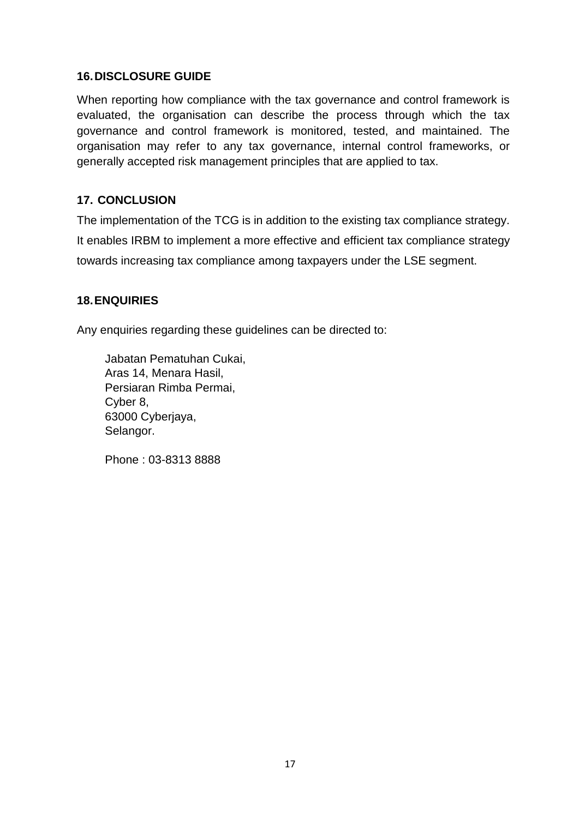#### **16.DISCLOSURE GUIDE**

When reporting how compliance with the tax governance and control framework is evaluated, the organisation can describe the process through which the tax governance and control framework is monitored, tested, and maintained. The organisation may refer to any tax governance, internal control frameworks, or generally accepted risk management principles that are applied to tax.

#### **17. CONCLUSION**

The implementation of the TCG is in addition to the existing tax compliance strategy. It enables IRBM to implement a more effective and efficient tax compliance strategy towards increasing tax compliance among taxpayers under the LSE segment.

#### **18.ENQUIRIES**

Any enquiries regarding these guidelines can be directed to:

Jabatan Pematuhan Cukai, Aras 14, Menara Hasil, Persiaran Rimba Permai, Cyber 8, 63000 Cyberjaya, Selangor.

Phone : 03-8313 8888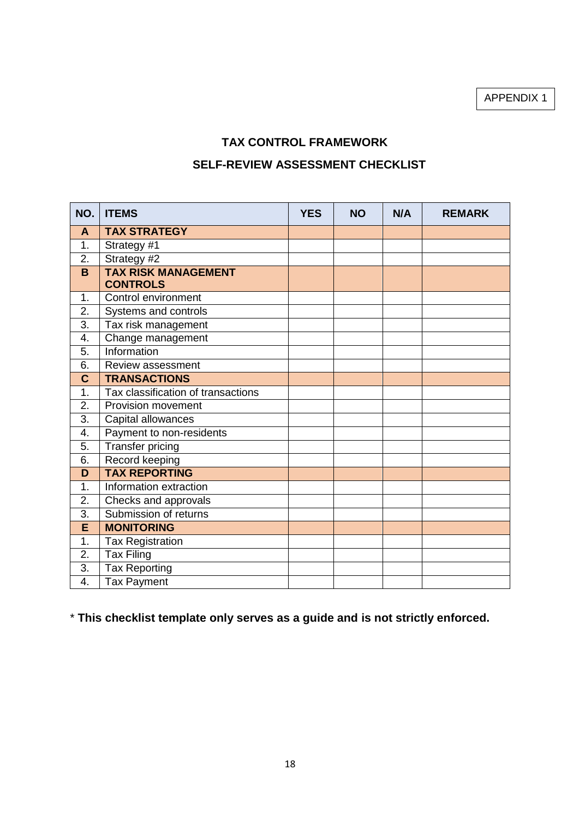APPENDIX 1

# **TAX CONTROL FRAMEWORK**

# **SELF-REVIEW ASSESSMENT CHECKLIST**

| NO.         | <b>ITEMS</b>                                  | <b>YES</b> | <b>NO</b> | N/A | <b>REMARK</b> |
|-------------|-----------------------------------------------|------------|-----------|-----|---------------|
| A           | <b>TAX STRATEGY</b>                           |            |           |     |               |
| 1.          | Strategy #1                                   |            |           |     |               |
| 2.          | Strategy #2                                   |            |           |     |               |
| B           | <b>TAX RISK MANAGEMENT</b><br><b>CONTROLS</b> |            |           |     |               |
| 1.          | Control environment                           |            |           |     |               |
| 2.          | Systems and controls                          |            |           |     |               |
| 3.          | Tax risk management                           |            |           |     |               |
| 4.          | Change management                             |            |           |     |               |
| 5.          | Information                                   |            |           |     |               |
| 6.          | Review assessment                             |            |           |     |               |
| $\mathbf C$ | <b>TRANSACTIONS</b>                           |            |           |     |               |
| 1.          | Tax classification of transactions            |            |           |     |               |
| 2.          | <b>Provision movement</b>                     |            |           |     |               |
| 3.          | Capital allowances                            |            |           |     |               |
| 4.          | Payment to non-residents                      |            |           |     |               |
| 5.          | <b>Transfer pricing</b>                       |            |           |     |               |
| 6.          | Record keeping                                |            |           |     |               |
| D           | <b>TAX REPORTING</b>                          |            |           |     |               |
| 1.          | Information extraction                        |            |           |     |               |
| 2.          | Checks and approvals                          |            |           |     |               |
| 3.          | Submission of returns                         |            |           |     |               |
| E           | <b>MONITORING</b>                             |            |           |     |               |
| 1.          | <b>Tax Registration</b>                       |            |           |     |               |
| 2.          | <b>Tax Filing</b>                             |            |           |     |               |
| 3.          | <b>Tax Reporting</b>                          |            |           |     |               |
| 4.          | <b>Tax Payment</b>                            |            |           |     |               |

\* **This checklist template only serves as a guide and is not strictly enforced.**